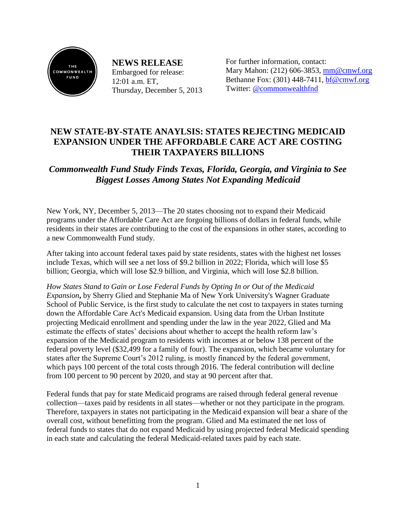

**NEWS RELEASE** Embargoed for release: 12:01 a.m. ET, Thursday, December 5, 2013 For further information, contact: Mary Mahon: (212) 606-3853, [mm@cmwf.org](mailto:mm@cmwf.org) Bethanne Fox: (301) 448-7411, [bf@cmwf.org](mailto:jweymouth@burnesscommunications.com) Twitter: [@commonwealthfnd](http://twitter.com/#!/commonwealthfnd)

## **NEW STATE-BY-STATE ANAYLSIS: STATES REJECTING MEDICAID EXPANSION UNDER THE AFFORDABLE CARE ACT ARE COSTING THEIR TAXPAYERS BILLIONS**

*Commonwealth Fund Study Finds Texas, Florida, Georgia, and Virginia to See Biggest Losses Among States Not Expanding Medicaid*

New York, NY, December 5, 2013—The 20 states choosing not to expand their Medicaid programs under the Affordable Care Act are forgoing billions of dollars in federal funds, while residents in their states are contributing to the cost of the expansions in other states, according to a new Commonwealth Fund study.

After taking into account federal taxes paid by state residents, states with the highest net losses include Texas, which will see a net loss of \$9.2 billion in 2022; Florida, which will lose \$5 billion; Georgia, which will lose \$2.9 billion, and Virginia, which will lose \$2.8 billion.

*How States Stand to Gain or Lose Federal Funds by Opting In or Out of the Medicaid Expansion***,** by Sherry Glied and Stephanie Ma of New York University's Wagner Graduate School of Public Service, is the first study to calculate the net cost to taxpayers in states turning down the Affordable Care Act's Medicaid expansion. Using data from the Urban Institute projecting Medicaid enrollment and spending under the law in the year 2022, Glied and Ma estimate the effects of states' decisions about whether to accept the health reform law's expansion of the Medicaid program to residents with incomes at or below 138 percent of the federal poverty level (\$32,499 for a family of four). The expansion, which became voluntary for states after the Supreme Court's 2012 ruling, is mostly financed by the federal government, which pays 100 percent of the total costs through 2016. The federal contribution will decline from 100 percent to 90 percent by 2020, and stay at 90 percent after that.

Federal funds that pay for state Medicaid programs are raised through federal general revenue collection—taxes paid by residents in all states—whether or not they participate in the program. Therefore, taxpayers in states not participating in the Medicaid expansion will bear a share of the overall cost, without benefitting from the program. Glied and Ma estimated the net loss of federal funds to states that do not expand Medicaid by using projected federal Medicaid spending in each state and calculating the federal Medicaid-related taxes paid by each state.